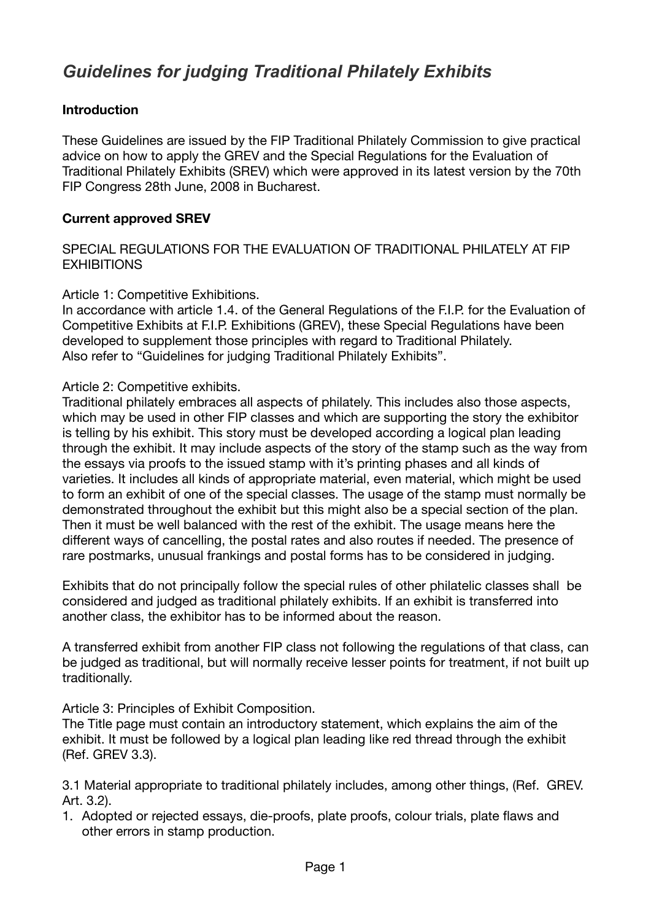# *Guidelines for judging Traditional Philately Exhibits*

# **Introduction**

These Guidelines are issued by the FIP Traditional Philately Commission to give practical advice on how to apply the GREV and the Special Regulations for the Evaluation of Traditional Philately Exhibits (SREV) which were approved in its latest version by the 70th FIP Congress 28th June, 2008 in Bucharest.

### **Current approved SREV**

SPECIAL REGULATIONS FOR THE EVALUATION OF TRADITIONAL PHILATELY AT FIP **EXHIBITIONS** 

Article 1: Competitive Exhibitions.

In accordance with article 1.4. of the General Regulations of the F.I.P. for the Evaluation of Competitive Exhibits at F.I.P. Exhibitions (GREV), these Special Regulations have been developed to supplement those principles with regard to Traditional Philately. Also refer to "Guidelines for judging Traditional Philately Exhibits".

Article 2: Competitive exhibits.

Traditional philately embraces all aspects of philately. This includes also those aspects, which may be used in other FIP classes and which are supporting the story the exhibitor is telling by his exhibit. This story must be developed according a logical plan leading through the exhibit. It may include aspects of the story of the stamp such as the way from the essays via proofs to the issued stamp with it's printing phases and all kinds of varieties. It includes all kinds of appropriate material, even material, which might be used to form an exhibit of one of the special classes. The usage of the stamp must normally be demonstrated throughout the exhibit but this might also be a special section of the plan. Then it must be well balanced with the rest of the exhibit. The usage means here the different ways of cancelling, the postal rates and also routes if needed. The presence of rare postmarks, unusual frankings and postal forms has to be considered in judging.

Exhibits that do not principally follow the special rules of other philatelic classes shall be considered and judged as traditional philately exhibits. If an exhibit is transferred into another class, the exhibitor has to be informed about the reason.

A transferred exhibit from another FIP class not following the regulations of that class, can be judged as traditional, but will normally receive lesser points for treatment, if not built up traditionally.

Article 3: Principles of Exhibit Composition.

The Title page must contain an introductory statement, which explains the aim of the exhibit. It must be followed by a logical plan leading like red thread through the exhibit (Ref. GREV 3.3).

3.1 Material appropriate to traditional philately includes, among other things, (Ref. GREV. Art. 3.2).

1. Adopted or rejected essays, die-proofs, plate proofs, colour trials, plate flaws and other errors in stamp production.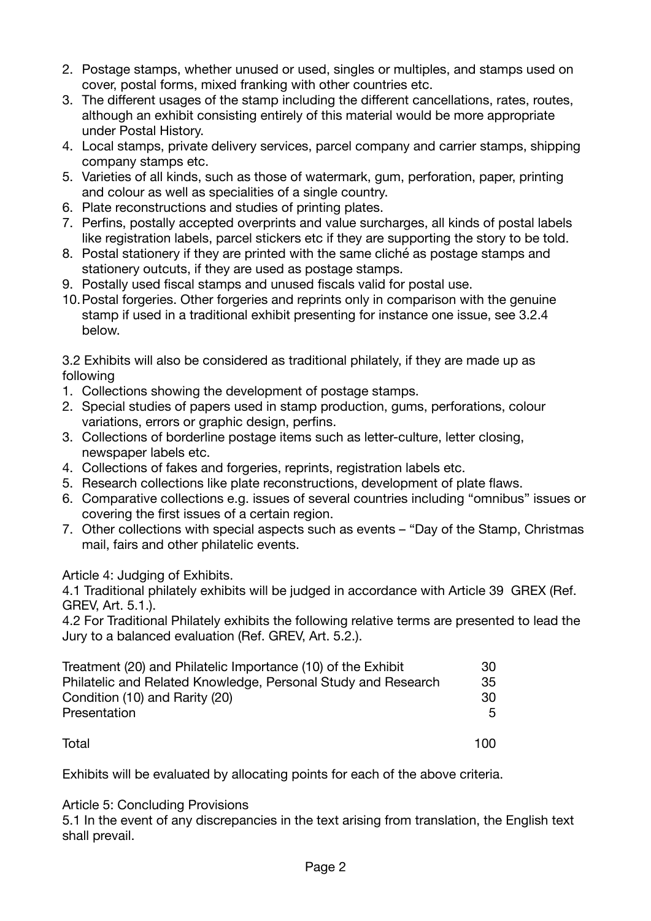- 2. Postage stamps, whether unused or used, singles or multiples, and stamps used on cover, postal forms, mixed franking with other countries etc.
- 3. The different usages of the stamp including the different cancellations, rates, routes, although an exhibit consisting entirely of this material would be more appropriate under Postal History.
- 4. Local stamps, private delivery services, parcel company and carrier stamps, shipping company stamps etc.
- 5. Varieties of all kinds, such as those of watermark, gum, perforation, paper, printing and colour as well as specialities of a single country.
- 6. Plate reconstructions and studies of printing plates.
- 7. Perfins, postally accepted overprints and value surcharges, all kinds of postal labels like registration labels, parcel stickers etc if they are supporting the story to be told.
- 8. Postal stationery if they are printed with the same cliché as postage stamps and stationery outcuts, if they are used as postage stamps.
- 9. Postally used fiscal stamps and unused fiscals valid for postal use.
- 10.Postal forgeries. Other forgeries and reprints only in comparison with the genuine stamp if used in a traditional exhibit presenting for instance one issue, see 3.2.4 below.

3.2 Exhibits will also be considered as traditional philately, if they are made up as following

- 1. Collections showing the development of postage stamps.
- 2. Special studies of papers used in stamp production, gums, perforations, colour variations, errors or graphic design, perfins.
- 3. Collections of borderline postage items such as letter-culture, letter closing, newspaper labels etc.
- 4. Collections of fakes and forgeries, reprints, registration labels etc.
- 5. Research collections like plate reconstructions, development of plate flaws.
- 6. Comparative collections e.g. issues of several countries including "omnibus" issues or covering the first issues of a certain region.
- 7. Other collections with special aspects such as events "Day of the Stamp, Christmas mail, fairs and other philatelic events.

Article 4: Judging of Exhibits.

4.1 Traditional philately exhibits will be judged in accordance with Article 39 GREX (Ref. GREV, Art. 5.1.).

4.2 For Traditional Philately exhibits the following relative terms are presented to lead the Jury to a balanced evaluation (Ref. GREV, Art. 5.2.).

| Treatment (20) and Philatelic Importance (10) of the Exhibit  | 30    |
|---------------------------------------------------------------|-------|
| Philatelic and Related Knowledge, Personal Study and Research | 35    |
| Condition (10) and Rarity (20)                                | -30   |
| Presentation                                                  | 5.    |
|                                                               |       |
| Total                                                         | 1 N N |

Exhibits will be evaluated by allocating points for each of the above criteria.

Article 5: Concluding Provisions

5.1 In the event of any discrepancies in the text arising from translation, the English text shall prevail.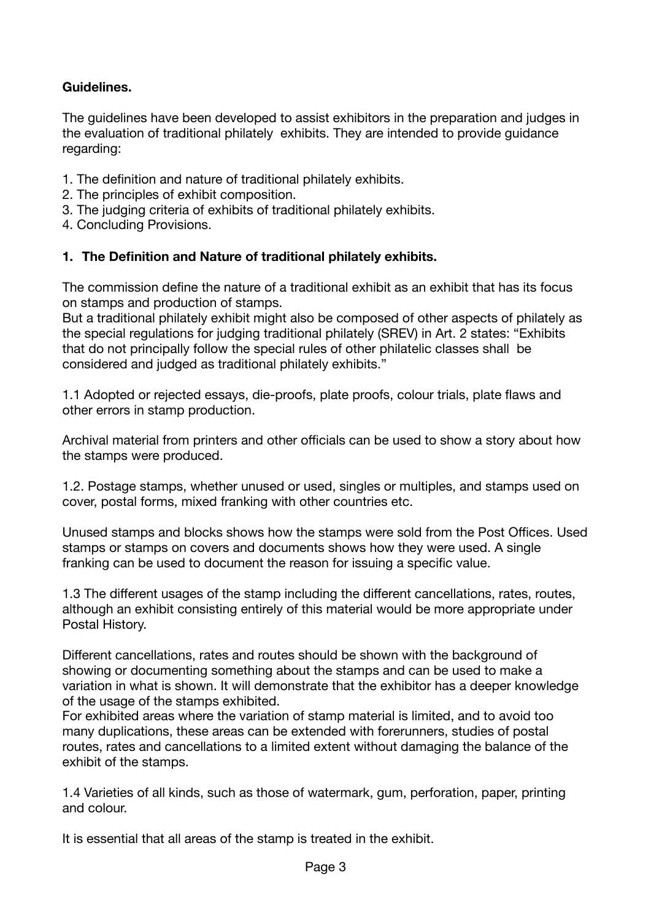# **Guidelines.**

The guidelines have been developed to assist exhibitors in the preparation and judges in the evaluation of traditional philately exhibits. They are intended to provide guidance regarding:

- 1. The definition and nature of traditional philately exhibits.
- 2. The principles of exhibit composition.
- 3. The judging criteria of exhibits of traditional philately exhibits.
- 4. Concluding Provisions.

#### **1. The Definition and Nature of traditional philately exhibits.**

The commission define the nature of a traditional exhibit as an exhibit that has its focus on stamps and production of stamps.

But a traditional philately exhibit might also be composed of other aspects of philately as the special regulations for judging traditional philately (SREV) in Art. 2 states: "Exhibits that do not principally follow the special rules of other philatelic classes shall be considered and judged as traditional philately exhibits."

1.1 Adopted or rejected essays, die-proofs, plate proofs, colour trials, plate flaws and other errors in stamp production.

Archival material from printers and other officials can be used to show a story about how the stamps were produced.

1.2. Postage stamps, whether unused or used, singles or multiples, and stamps used on cover, postal forms, mixed franking with other countries etc.

Unused stamps and blocks shows how the stamps were sold from the Post Offices. Used stamps or stamps on covers and documents shows how they were used. A single franking can be used to document the reason for issuing a specific value.

1.3 The different usages of the stamp including the different cancellations, rates, routes, although an exhibit consisting entirely of this material would be more appropriate under Postal History.

Different cancellations, rates and routes should be shown with the background of showing or documenting something about the stamps and can be used to make a variation in what is shown. It will demonstrate that the exhibitor has a deeper knowledge of the usage of the stamps exhibited.

For exhibited areas where the variation of stamp material is limited, and to avoid too many duplications, these areas can be extended with forerunners, studies of postal routes, rates and cancellations to a limited extent without damaging the balance of the exhibit of the stamps.

1.4 Varieties of all kinds, such as those of watermark, gum, perforation, paper, printing and colour.

It is essential that all areas of the stamp is treated in the exhibit.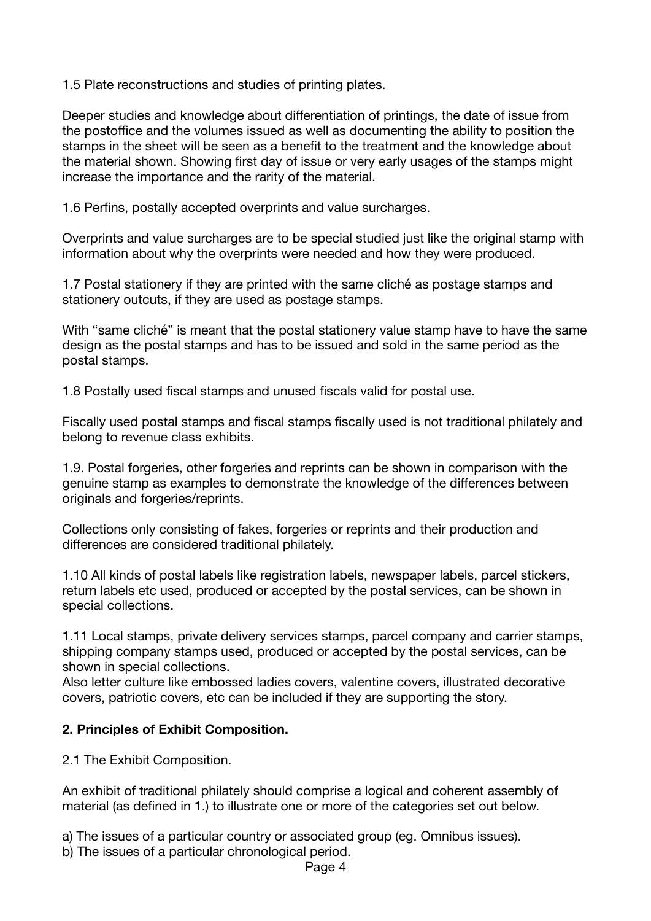1.5 Plate reconstructions and studies of printing plates.

Deeper studies and knowledge about differentiation of printings, the date of issue from the postoffice and the volumes issued as well as documenting the ability to position the stamps in the sheet will be seen as a benefit to the treatment and the knowledge about the material shown. Showing first day of issue or very early usages of the stamps might increase the importance and the rarity of the material.

1.6 Perfins, postally accepted overprints and value surcharges.

Overprints and value surcharges are to be special studied just like the original stamp with information about why the overprints were needed and how they were produced.

1.7 Postal stationery if they are printed with the same cliché as postage stamps and stationery outcuts, if they are used as postage stamps.

With "same cliché" is meant that the postal stationery value stamp have to have the same design as the postal stamps and has to be issued and sold in the same period as the postal stamps.

1.8 Postally used fiscal stamps and unused fiscals valid for postal use.

Fiscally used postal stamps and fiscal stamps fiscally used is not traditional philately and belong to revenue class exhibits.

1.9. Postal forgeries, other forgeries and reprints can be shown in comparison with the genuine stamp as examples to demonstrate the knowledge of the differences between originals and forgeries/reprints.

Collections only consisting of fakes, forgeries or reprints and their production and differences are considered traditional philately.

1.10 All kinds of postal labels like registration labels, newspaper labels, parcel stickers, return labels etc used, produced or accepted by the postal services, can be shown in special collections.

1.11 Local stamps, private delivery services stamps, parcel company and carrier stamps, shipping company stamps used, produced or accepted by the postal services, can be shown in special collections.

Also letter culture like embossed ladies covers, valentine covers, illustrated decorative covers, patriotic covers, etc can be included if they are supporting the story.

# **2. Principles of Exhibit Composition.**

2.1 The Exhibit Composition.

An exhibit of traditional philately should comprise a logical and coherent assembly of material (as defined in 1.) to illustrate one or more of the categories set out below.

a) The issues of a particular country or associated group (eg. Omnibus issues).

b) The issues of a particular chronological period.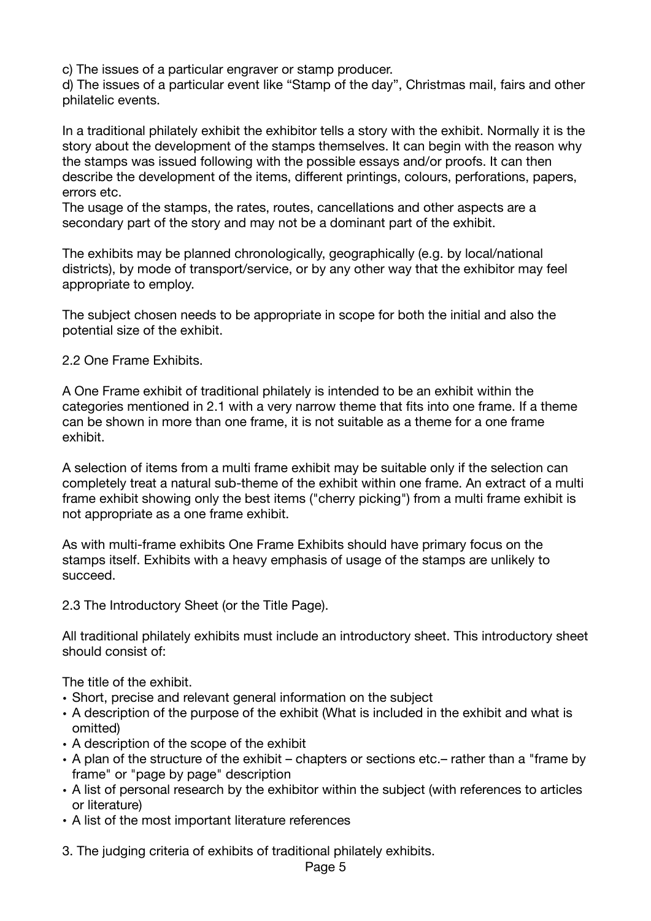c) The issues of a particular engraver or stamp producer.

d) The issues of a particular event like "Stamp of the day", Christmas mail, fairs and other philatelic events.

In a traditional philately exhibit the exhibitor tells a story with the exhibit. Normally it is the story about the development of the stamps themselves. It can begin with the reason why the stamps was issued following with the possible essays and/or proofs. It can then describe the development of the items, different printings, colours, perforations, papers, errors etc.

The usage of the stamps, the rates, routes, cancellations and other aspects are a secondary part of the story and may not be a dominant part of the exhibit.

The exhibits may be planned chronologically, geographically (e.g. by local/national districts), by mode of transport/service, or by any other way that the exhibitor may feel appropriate to employ.

The subject chosen needs to be appropriate in scope for both the initial and also the potential size of the exhibit.

2.2 One Frame Exhibits.

A One Frame exhibit of traditional philately is intended to be an exhibit within the categories mentioned in 2.1 with a very narrow theme that fits into one frame. If a theme can be shown in more than one frame, it is not suitable as a theme for a one frame exhibit.

A selection of items from a multi frame exhibit may be suitable only if the selection can completely treat a natural sub-theme of the exhibit within one frame. An extract of a multi frame exhibit showing only the best items ("cherry picking") from a multi frame exhibit is not appropriate as a one frame exhibit.

As with multi-frame exhibits One Frame Exhibits should have primary focus on the stamps itself. Exhibits with a heavy emphasis of usage of the stamps are unlikely to succeed.

2.3 The Introductory Sheet (or the Title Page).

All traditional philately exhibits must include an introductory sheet. This introductory sheet should consist of:

The title of the exhibit.

- Short, precise and relevant general information on the subject
- A description of the purpose of the exhibit (What is included in the exhibit and what is omitted)
- A description of the scope of the exhibit
- A plan of the structure of the exhibit chapters or sections etc.– rather than a "frame by frame" or "page by page" description
- A list of personal research by the exhibitor within the subject (with references to articles or literature)
- A list of the most important literature references

3. The judging criteria of exhibits of traditional philately exhibits.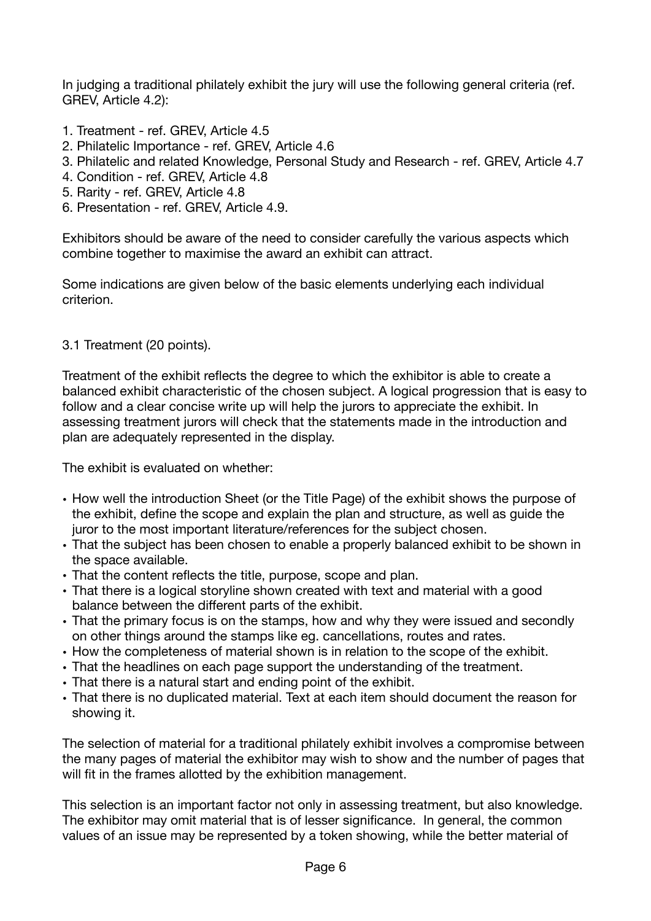In judging a traditional philately exhibit the jury will use the following general criteria (ref. GREV, Article 4.2):

- 1. Treatment ref. GREV, Article 4.5
- 2. Philatelic Importance ref. GREV, Article 4.6
- 3. Philatelic and related Knowledge, Personal Study and Research ref. GREV, Article 4.7
- 4. Condition ref. GREV, Article 4.8
- 5. Rarity ref. GREV, Article 4.8
- 6. Presentation ref. GREV, Article 4.9.

Exhibitors should be aware of the need to consider carefully the various aspects which combine together to maximise the award an exhibit can attract.

Some indications are given below of the basic elements underlying each individual criterion.

# 3.1 Treatment (20 points).

Treatment of the exhibit reflects the degree to which the exhibitor is able to create a balanced exhibit characteristic of the chosen subject. A logical progression that is easy to follow and a clear concise write up will help the jurors to appreciate the exhibit. In assessing treatment jurors will check that the statements made in the introduction and plan are adequately represented in the display.

The exhibit is evaluated on whether:

- How well the introduction Sheet (or the Title Page) of the exhibit shows the purpose of the exhibit, define the scope and explain the plan and structure, as well as guide the juror to the most important literature/references for the subject chosen.
- That the subject has been chosen to enable a properly balanced exhibit to be shown in the space available.
- That the content reflects the title, purpose, scope and plan.
- That there is a logical storyline shown created with text and material with a good balance between the different parts of the exhibit.
- That the primary focus is on the stamps, how and why they were issued and secondly on other things around the stamps like eg. cancellations, routes and rates.
- How the completeness of material shown is in relation to the scope of the exhibit.
- That the headlines on each page support the understanding of the treatment.
- That there is a natural start and ending point of the exhibit.
- That there is no duplicated material. Text at each item should document the reason for showing it.

The selection of material for a traditional philately exhibit involves a compromise between the many pages of material the exhibitor may wish to show and the number of pages that will fit in the frames allotted by the exhibition management.

This selection is an important factor not only in assessing treatment, but also knowledge. The exhibitor may omit material that is of lesser significance. In general, the common values of an issue may be represented by a token showing, while the better material of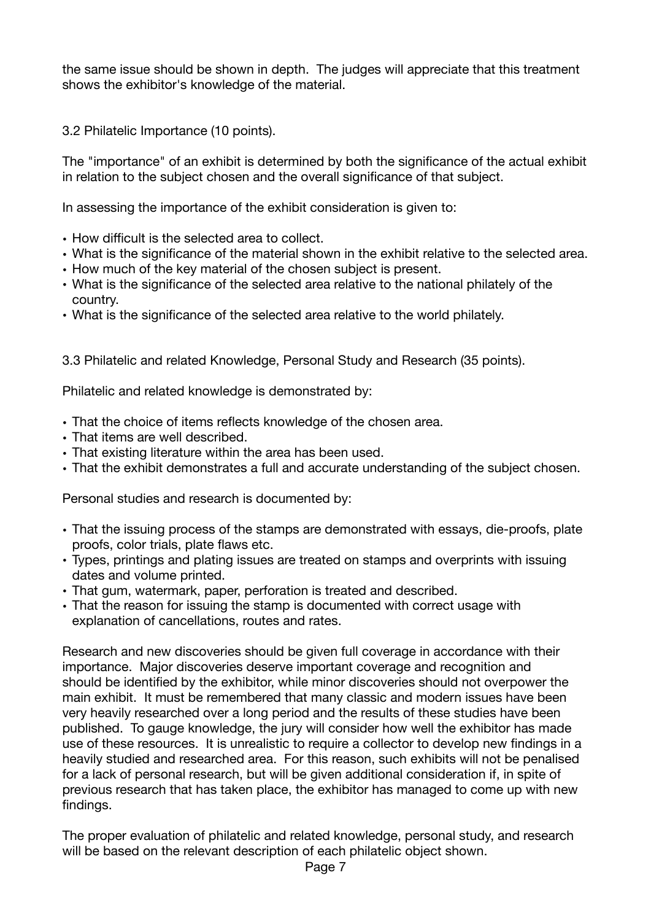the same issue should be shown in depth. The judges will appreciate that this treatment shows the exhibitor's knowledge of the material.

3.2 Philatelic Importance (10 points).

The "importance" of an exhibit is determined by both the significance of the actual exhibit in relation to the subject chosen and the overall significance of that subject.

In assessing the importance of the exhibit consideration is given to:

- How difficult is the selected area to collect.
- What is the significance of the material shown in the exhibit relative to the selected area.
- How much of the key material of the chosen subject is present.
- What is the significance of the selected area relative to the national philately of the country.
- What is the significance of the selected area relative to the world philately.

3.3 Philatelic and related Knowledge, Personal Study and Research (35 points).

Philatelic and related knowledge is demonstrated by:

- That the choice of items reflects knowledge of the chosen area.
- That items are well described.
- That existing literature within the area has been used.
- That the exhibit demonstrates a full and accurate understanding of the subject chosen.

Personal studies and research is documented by:

- That the issuing process of the stamps are demonstrated with essays, die-proofs, plate proofs, color trials, plate flaws etc.
- Types, printings and plating issues are treated on stamps and overprints with issuing dates and volume printed.
- That gum, watermark, paper, perforation is treated and described.
- That the reason for issuing the stamp is documented with correct usage with explanation of cancellations, routes and rates.

Research and new discoveries should be given full coverage in accordance with their importance. Major discoveries deserve important coverage and recognition and should be identified by the exhibitor, while minor discoveries should not overpower the main exhibit. It must be remembered that many classic and modern issues have been very heavily researched over a long period and the results of these studies have been published. To gauge knowledge, the jury will consider how well the exhibitor has made use of these resources. It is unrealistic to require a collector to develop new findings in a heavily studied and researched area. For this reason, such exhibits will not be penalised for a lack of personal research, but will be given additional consideration if, in spite of previous research that has taken place, the exhibitor has managed to come up with new findings.

The proper evaluation of philatelic and related knowledge, personal study, and research will be based on the relevant description of each philatelic object shown.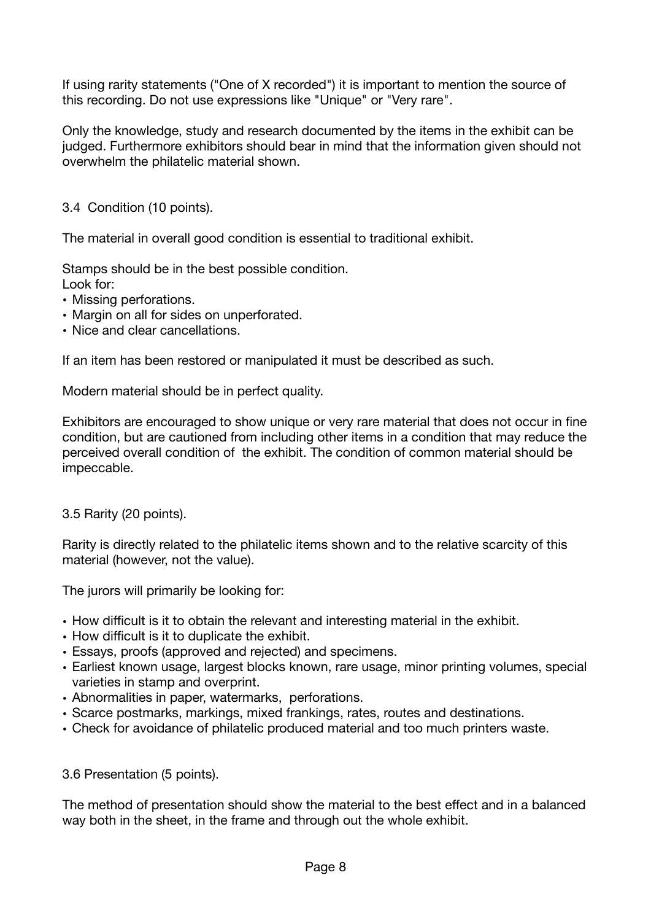If using rarity statements ("One of X recorded") it is important to mention the source of this recording. Do not use expressions like "Unique" or "Very rare".

Only the knowledge, study and research documented by the items in the exhibit can be judged. Furthermore exhibitors should bear in mind that the information given should not overwhelm the philatelic material shown.

3.4 Condition (10 points).

The material in overall good condition is essential to traditional exhibit.

Stamps should be in the best possible condition.

- Look for:
- Missing perforations.
- Margin on all for sides on unperforated.
- Nice and clear cancellations.

If an item has been restored or manipulated it must be described as such.

Modern material should be in perfect quality.

Exhibitors are encouraged to show unique or very rare material that does not occur in fine condition, but are cautioned from including other items in a condition that may reduce the perceived overall condition of the exhibit. The condition of common material should be impeccable.

#### 3.5 Rarity (20 points).

Rarity is directly related to the philatelic items shown and to the relative scarcity of this material (however, not the value).

The jurors will primarily be looking for:

- How difficult is it to obtain the relevant and interesting material in the exhibit.
- How difficult is it to duplicate the exhibit.
- Essays, proofs (approved and rejected) and specimens.
- Earliest known usage, largest blocks known, rare usage, minor printing volumes, special varieties in stamp and overprint.
- Abnormalities in paper, watermarks, perforations.
- Scarce postmarks, markings, mixed frankings, rates, routes and destinations.
- Check for avoidance of philatelic produced material and too much printers waste.

#### 3.6 Presentation (5 points).

The method of presentation should show the material to the best effect and in a balanced way both in the sheet, in the frame and through out the whole exhibit.